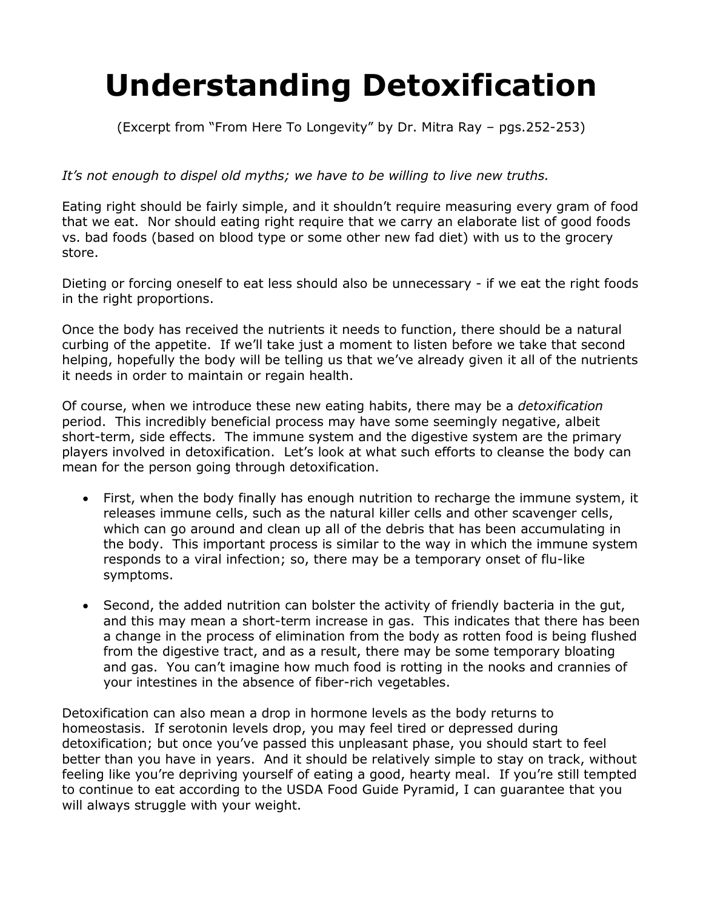## **Understanding Detoxification**

(Excerpt from "From Here To Longevity" by Dr. Mitra Ray – pgs.252-253)

## *It's not enough to dispel old myths; we have to be willing to live new truths.*

Eating right should be fairly simple, and it shouldn't require measuring every gram of food that we eat. Nor should eating right require that we carry an elaborate list of good foods vs. bad foods (based on blood type or some other new fad diet) with us to the grocery store.

Dieting or forcing oneself to eat less should also be unnecessary - if we eat the right foods in the right proportions.

Once the body has received the nutrients it needs to function, there should be a natural curbing of the appetite. If we'll take just a moment to listen before we take that second helping, hopefully the body will be telling us that we've already given it all of the nutrients it needs in order to maintain or regain health.

Of course, when we introduce these new eating habits, there may be a *detoxification* period. This incredibly beneficial process may have some seemingly negative, albeit short-term, side effects. The immune system and the digestive system are the primary players involved in detoxification. Let's look at what such efforts to cleanse the body can mean for the person going through detoxification.

- First, when the body finally has enough nutrition to recharge the immune system, it releases immune cells, such as the natural killer cells and other scavenger cells, which can go around and clean up all of the debris that has been accumulating in the body. This important process is similar to the way in which the immune system responds to a viral infection; so, there may be a temporary onset of flu-like symptoms.
- Second, the added nutrition can bolster the activity of friendly bacteria in the gut, and this may mean a short-term increase in gas. This indicates that there has been a change in the process of elimination from the body as rotten food is being flushed from the digestive tract, and as a result, there may be some temporary bloating and gas. You can't imagine how much food is rotting in the nooks and crannies of your intestines in the absence of fiber-rich vegetables.

Detoxification can also mean a drop in hormone levels as the body returns to homeostasis. If serotonin levels drop, you may feel tired or depressed during detoxification; but once you've passed this unpleasant phase, you should start to feel better than you have in years. And it should be relatively simple to stay on track, without feeling like you're depriving yourself of eating a good, hearty meal. If you're still tempted to continue to eat according to the USDA Food Guide Pyramid, I can guarantee that you will always struggle with your weight.